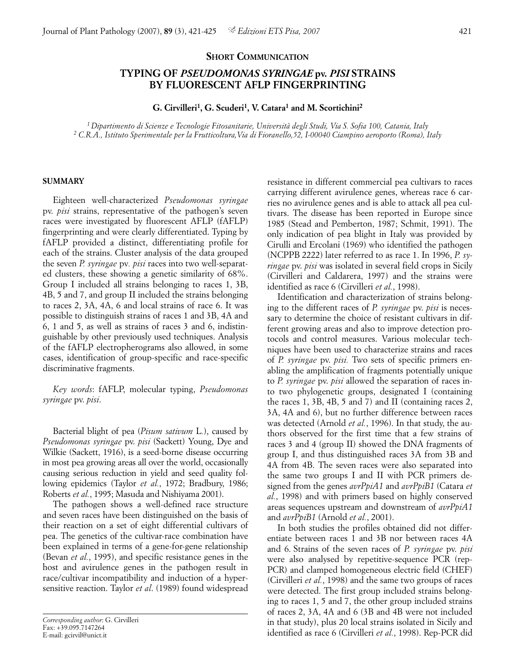# **SHORT COMMUNICATION**

# **TYPING OF** *PSEUDOMONAS SYRINGAE* **pv.** *PISI* **STRAINS BY FLUORESCENT AFLP FINGERPRINTING**

**G. Cirvilleri1, G. Scuderi1, V. Catara1 and M. Scortichini2**

*1 Dipartimento di Scienze e Tecnologie Fitosanitarie, Università degli Studi, Via S. Sofia 100, Catania, Italy <sup>2</sup> C.R.A., Istituto Sperimentale per la Frutticoltura,Via di Fioranello,52, I-00040 Ciampino aeroporto (Roma), Italy*

#### **SUMMARY**

Eighteen well-characterized *Pseudomonas syringae* pv. *pisi* strains, representative of the pathogen's seven races were investigated by fluorescent AFLP (fAFLP) fingerprinting and were clearly differentiated. Typing by fAFLP provided a distinct, differentiating profile for each of the strains. Cluster analysis of the data grouped the seven *P. syringae* pv*. pisi* races into two well-separated clusters, these showing a genetic similarity of 68%. Group I included all strains belonging to races 1, 3B, 4B, 5 and 7, and group II included the strains belonging to races 2, 3A, 4A, 6 and local strains of race 6. It was possible to distinguish strains of races 1 and 3B, 4A and 6, 1 and 5, as well as strains of races 3 and 6, indistinguishable by other previously used techniques. Analysis of the fAFLP electropherograms also allowed, in some cases, identification of group-specific and race-specific discriminative fragments.

*Key words*: fAFLP, molecular typing, *Pseudomonas syringae* pv. *pisi*.

Bacterial blight of pea (*Pisum sativum* L*.*), caused by *Pseudomonas syringae* pv. *pisi* (Sackett) Young, Dye and Wilkie (Sackett, 1916), is a seed-borne disease occurring in most pea growing areas all over the world, occasionally causing serious reduction in yield and seed quality following epidemics (Taylor *et al.*, 1972; Bradbury, 1986; Roberts *et al.*, 1995; Masuda and Nishiyama 2001).

The pathogen shows a well-defined race structure and seven races have been distinguished on the basis of their reaction on a set of eight differential cultivars of pea. The genetics of the cultivar-race combination have been explained in terms of a gene-for-gene relationship (Bevan *et al.*, 1995), and specific resistance genes in the host and avirulence genes in the pathogen result in race/cultivar incompatibility and induction of a hypersensitive reaction. Taylor *et al*. (1989) found widespread resistance in different commercial pea cultivars to races carrying different avirulence genes, whereas race 6 carries no avirulence genes and is able to attack all pea cultivars. The disease has been reported in Europe since 1985 (Stead and Pemberton, 1987; Schmit, 1991). The only indication of pea blight in Italy was provided by Cirulli and Ercolani (1969) who identified the pathogen (NCPPB 2222) later referred to as race 1. In 1996, *P. syringae* pv. *pisi* was isolated in several field crops in Sicily (Cirvilleri and Caldarera, 1997) and the strains were identified as race 6 (Cirvilleri *et al.*, 1998).

Identification and characterization of strains belonging to the different races of *P. syringae* pv. *pisi* is necessary to determine the choice of resistant cultivars in different growing areas and also to improve detection protocols and control measures. Various molecular techniques have been used to characterize strains and races of *P. syringae* pv. *pisi.* Two sets of specific primers enabling the amplification of fragments potentially unique to *P. syringae* pv. *pisi* allowed the separation of races into two phylogenetic groups, designated I (containing the races 1, 3B, 4B, 5 and 7) and II (containing races 2, 3A, 4A and 6), but no further difference between races was detected (Arnold *et al.*, 1996). In that study, the authors observed for the first time that a few strains of races 3 and 4 (group II) showed the DNA fragments of group I, and thus distinguished races 3A from 3B and 4A from 4B. The seven races were also separated into the same two groups I and II with PCR primers designed from the genes *avrPpiA1* and *avrPpiB1* (Catara *et al.*, 1998) and with primers based on highly conserved areas sequences upstream and downstream of *avrPpiA1* and *avrPpiB1* (Arnold *et al.*, 2001).

In both studies the profiles obtained did not differentiate between races 1 and 3B nor between races 4A and 6. Strains of the seven races of *P. syringae* pv. *pisi* were also analysed by repetitive-sequence PCR (rep-PCR) and clamped homogeneous electric field (CHEF) (Cirvilleri *et al.*, 1998) and the same two groups of races were detected. The first group included strains belonging to races 1, 5 and 7, the other group included strains of races 2, 3A, 4A and 6 (3B and 4B were not included in that study), plus 20 local strains isolated in Sicily and identified as race 6 (Cirvilleri *et al.*, 1998). Rep-PCR did

*Corresponding author*: G. Cirvilleri Fax: +39.095.7147264 E-mail: gcirvil@unict.it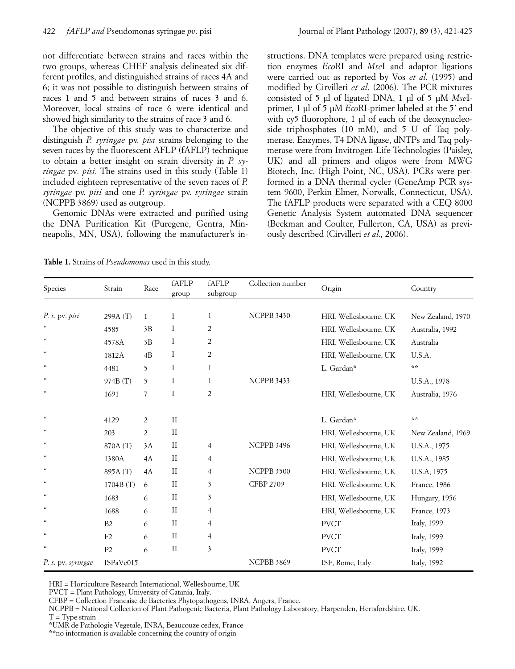**Table 1.** Strains of *Pseudomonas* used in this study.

| 422                                                                                                                                                                                                                                                                                                                                                                                                                                                                                                                                                                                                                                                                                                                                                                                                                                                                                                                                                                                                                                                               | fAFLP and Pseudomonas syringae pv. pisi                                                                                         |                                                                     |                                                                                                                                  |                                                                                           |                                                                                              | Journal of Plant Pathology (2007), 89 (3), 421-425                                                                                                                                                                                                                                                                                                                                                                                                                                                                                                                                                                                                                                                                                                                                                                                                                                                                                                                                                               |                                                                                                                                                                        |  |  |  |  |  |  |
|-------------------------------------------------------------------------------------------------------------------------------------------------------------------------------------------------------------------------------------------------------------------------------------------------------------------------------------------------------------------------------------------------------------------------------------------------------------------------------------------------------------------------------------------------------------------------------------------------------------------------------------------------------------------------------------------------------------------------------------------------------------------------------------------------------------------------------------------------------------------------------------------------------------------------------------------------------------------------------------------------------------------------------------------------------------------|---------------------------------------------------------------------------------------------------------------------------------|---------------------------------------------------------------------|----------------------------------------------------------------------------------------------------------------------------------|-------------------------------------------------------------------------------------------|----------------------------------------------------------------------------------------------|------------------------------------------------------------------------------------------------------------------------------------------------------------------------------------------------------------------------------------------------------------------------------------------------------------------------------------------------------------------------------------------------------------------------------------------------------------------------------------------------------------------------------------------------------------------------------------------------------------------------------------------------------------------------------------------------------------------------------------------------------------------------------------------------------------------------------------------------------------------------------------------------------------------------------------------------------------------------------------------------------------------|------------------------------------------------------------------------------------------------------------------------------------------------------------------------|--|--|--|--|--|--|
| not differentiate between strains and races within the<br>two groups, whereas CHEF analysis delineated six dif-<br>ferent profiles, and distinguished strains of races 4A and<br>6; it was not possible to distinguish between strains of<br>races 1 and 5 and between strains of races 3 and 6.<br>Moreover, local strains of race 6 were identical and<br>showed high similarity to the strains of race 3 and 6.<br>The objective of this study was to characterize and<br>distinguish P. syringae pv. pisi strains belonging to the<br>seven races by the fluorescent AFLP (fAFLP) technique<br>to obtain a better insight on strain diversity in P. sy-<br><i>ringae</i> pv. <i>pisi</i> . The strains used in this study (Table 1)<br>included eighteen representative of the seven races of P.<br>syringae pv. pisi and one P. syringae pv. syringae strain<br>(NCPPB 3869) used as outgroup.<br>Genomic DNAs were extracted and purified using<br>the DNA Purification Kit (Puregene, Gentra, Min-<br>neapolis, MN, USA), following the manufacturer's in- |                                                                                                                                 |                                                                     |                                                                                                                                  |                                                                                           |                                                                                              | structions. DNA templates were prepared using restric-<br>tion enzymes EcoRI and MseI and adaptor ligations<br>were carried out as reported by Vos et al. (1995) and<br>modified by Cirvilleri et al. (2006). The PCR mixtures<br>consisted of 5 µl of ligated DNA, 1 µl of 5 µM MseI-<br>primer, 1 µl of 5 µM EcoRI-primer labeled at the 5' end<br>with cy5 fluorophore, 1 µl of each of the deoxynucleo-<br>side triphosphates (10 mM), and 5 U of Taq poly-<br>merase. Enzymes, T4 DNA ligase, dNTPs and Taq poly-<br>merase were from Invitrogen-Life Technologies (Paisley,<br>UK) and all primers and oligos were from MWG<br>Biotech, Inc. (High Point, NC, USA). PCRs were per-<br>formed in a DNA thermal cycler (GeneAmp PCR sys-<br>tem 9600, Perkin Elmer, Norwalk, Connecticut, USA).<br>The fAFLP products were separated with a CEQ 8000<br>Genetic Analysis System automated DNA sequencer<br>(Beckman and Coulter, Fullerton, CA, USA) as previ-<br>ously described (Cirvilleri et al., 2006). |                                                                                                                                                                        |  |  |  |  |  |  |
| Table 1. Strains of Pseudomonas used in this study.<br>Species                                                                                                                                                                                                                                                                                                                                                                                                                                                                                                                                                                                                                                                                                                                                                                                                                                                                                                                                                                                                    | Strain                                                                                                                          | Race                                                                | fAFLP<br>group                                                                                                                   | fAFLP<br>subgroup                                                                         | Collection number                                                                            | Origin                                                                                                                                                                                                                                                                                                                                                                                                                                                                                                                                                                                                                                                                                                                                                                                                                                                                                                                                                                                                           | Country                                                                                                                                                                |  |  |  |  |  |  |
| P. s. pv. pisi<br>$\epsilon$<br>$\alpha$<br>$\alpha$<br>$\alpha$<br>$\epsilon\epsilon$                                                                                                                                                                                                                                                                                                                                                                                                                                                                                                                                                                                                                                                                                                                                                                                                                                                                                                                                                                            | 299A(T)<br>4585<br>4578A<br>1812A<br>4481<br>974B (T)<br>1691                                                                   | 1<br>3B<br>3B<br>4B<br>5<br>5<br>7                                  | Ι<br>Ι<br>I<br>Ι<br>Ι<br>I<br>I                                                                                                  | 1<br>2<br>$\overline{2}$<br>2<br>$\mathbf{1}$<br>$\mathbf{1}$<br>2                        | <b>NCPPB 3430</b><br>NCPPB 3433                                                              | HRI, Wellesbourne, UK<br>HRI, Wellesbourne, UK<br>HRI, Wellesbourne, UK<br>HRI, Wellesbourne, UK<br>L. Gardan*<br>HRI, Wellesbourne, UK                                                                                                                                                                                                                                                                                                                                                                                                                                                                                                                                                                                                                                                                                                                                                                                                                                                                          | New Zealand, 1970<br>Australia, 1992<br>Australia<br>U.S.A.<br>$\star\star$<br>U.S.A., 1978<br>Australia, 1976                                                         |  |  |  |  |  |  |
| $\epsilon\epsilon$<br>$\epsilon\epsilon$<br>$\epsilon\epsilon$<br>$\epsilon\epsilon$<br>$\epsilon\epsilon$<br>$\alpha$<br>$\alpha$<br>$\epsilon$<br>$\alpha$<br>$\alpha$<br>$\alpha$                                                                                                                                                                                                                                                                                                                                                                                                                                                                                                                                                                                                                                                                                                                                                                                                                                                                              | 4129<br>203<br>870A (T)<br>1380A<br>895A (T)<br>1704B (T)<br>1683<br>1688<br>B <sub>2</sub><br>F <sub>2</sub><br>P <sub>2</sub> | 2<br>$\overline{2}$<br>3A<br>4A<br>4A<br>6<br>6<br>6<br>6<br>6<br>6 | $\rm II$<br>$\rm II$<br>$\rm II$<br>$\rm II$<br>$\rm II$<br>$\rm II$<br>$\rm II$<br>$\rm II$<br>$\rm II$<br>$\rm II$<br>$\rm II$ | $\overline{4}$<br>4<br>4<br>3<br>3<br>4<br>4<br>$\overline{4}$<br>$\overline{\mathbf{3}}$ | NCPPB 3496<br>NCPPB 3500<br><b>CFBP 2709</b>                                                 | L. Gardan*<br>HRI, Wellesbourne, UK<br>HRI, Wellesbourne, UK<br>HRI, Wellesbourne, UK<br>HRI, Wellesbourne, UK<br>HRI, Wellesbourne, UK<br>HRI, Wellesbourne, UK<br>HRI, Wellesbourne, UK<br><b>PVCT</b><br><b>PVCT</b><br><b>PVCT</b>                                                                                                                                                                                                                                                                                                                                                                                                                                                                                                                                                                                                                                                                                                                                                                           | $**$<br>New Zealand, 1969<br>U.S.A., 1975<br>U.S.A., 1985<br>U.S.A, 1975<br>France, 1986<br>Hungary, 1956<br>France, 1973<br>Italy, 1999<br>Italy, 1999<br>Italy, 1999 |  |  |  |  |  |  |
| P. s. pv. syringae<br>HRI = Horticulture Research International, Wellesbourne, UK<br>PVCT = Plant Pathology, University of Catania, Italy.<br>$T = Type strain$<br>*UMR de Pathologie Vegetale, INRA, Beaucouze cedex, France                                                                                                                                                                                                                                                                                                                                                                                                                                                                                                                                                                                                                                                                                                                                                                                                                                     | ISPaVe015<br>** no information is available concerning the country of origin                                                    |                                                                     |                                                                                                                                  |                                                                                           | NCPBB 3869<br>CFBP = Collection Francaise de Bacteries Phytopathogens, INRA, Angers, France. | ISF, Rome, Italy<br>NCPPB = National Collection of Plant Pathogenic Bacteria, Plant Pathology Laboratory, Harpenden, Hertsfordshire, UK.                                                                                                                                                                                                                                                                                                                                                                                                                                                                                                                                                                                                                                                                                                                                                                                                                                                                         | Italy, 1992                                                                                                                                                            |  |  |  |  |  |  |

<sup>\*</sup>UMR de Pathologie Vegetale, INRA, Beaucouze cedex, France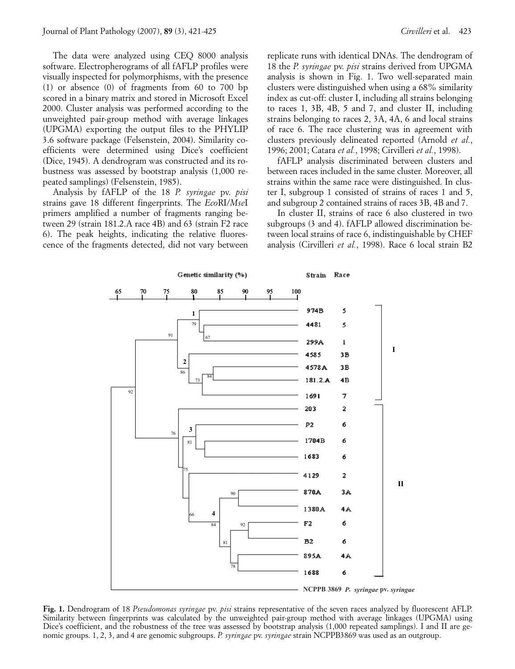The data were analyzed using CEQ 8000 analysis software. Electropherograms of all fAFLP profiles were visually inspected for polymorphisms, with the presence (1) or absence (0) of fragments from 60 to 700 bp scored in a binary matrix and stored in Microsoft Excel 2000. Cluster analysis was performed according to the unweighted pair-group method with average linkages (UPGMA) exporting the output files to the PHYLIP 3.6 software package (Felsenstein, 2004). Similarity coefficients were determined using Dice's coefficient (Dice, 1945). A dendrogram was constructed and its robustness was assessed by bootstrap analysis (1,000 repeated samplings) (Felsenstein, 1985).

Analysis by fAFLP of the 18 *P. syringae* pv. *pisi* strains gave 18 different fingerprints. The *Eco*RI/*Mse*I primers amplified a number of fragments ranging between 29 (strain 181.2.A race 4B) and 63 (strain F2 race 6). The peak heights, indicating the relative fluorescence of the fragments detected, did not vary between

replicate runs with identical DNAs. The dendrogram of 18 the *P. syringae* pv. *pisi* strains derived from UPGMA analysis is shown in Fig. 1. Two well-separated main clusters were distinguished when using a 68% similarity index as cut-off: cluster I, including all strains belonging to races 1, 3B, 4B, 5 and 7, and cluster II, including strains belonging to races 2, 3A, 4A, 6 and local strains of race 6. The race clustering was in agreement with clusters previously delineated reported (Arnold *et al.*, 1996; 2001; Catara *et al.*, 1998; Cirvilleri *et al.*, 1998).

fAFLP analysis discriminated between clusters and between races included in the same cluster. Moreover, all strains within the same race were distinguished. In cluster I, subgroup 1 consisted of strains of races 1 and 5, and subgroup 2 contained strains of races 3B, 4B and 7.

In cluster II, strains of race 6 also clustered in two subgroups (3 and 4). fAFLP allowed discrimination between local strains of race 6, indistinguishable by CHEF analysis (Cirvilleri *et al.*, 1998). Race 6 local strain B2



**Fig. 1.** Dendrogram of 18 *Pseudomonas syringae* pv. *pisi* strains representative of the seven races analyzed by fluorescent AFLP. Similarity between fingerprints was calculated by the unweighted pair-group method with average linkages (UPGMA) using Dice's coefficient, and the robustness of the tree was assessed by bootstrap analysis (1,000 repeated samplings). I and II are genomic groups. 1, 2, 3, and 4 are genomic subgroups. *P. syringae* pv. *syringae* strain NCPPB3869 was used as an outgroup.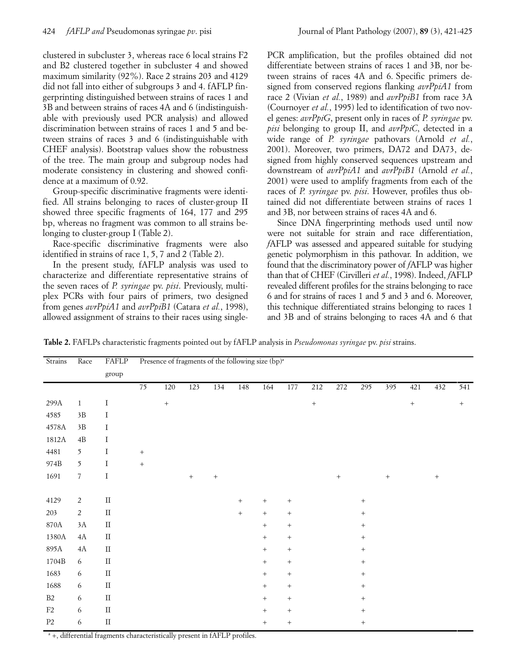clustered in subcluster 3, whereas race 6 local strains F2 and B2 clustered together in subcluster 4 and showed maximum similarity (92%). Race 2 strains 203 and 4129 did not fall into either of subgroups 3 and 4. fAFLP fingerprinting distinguished between strains of races 1 and 3B and between strains of races 4A and 6 (indistinguishable with previously used PCR analysis) and allowed discrimination between strains of races 1 and 5 and between strains of races 3 and 6 (indistinguishable with CHEF analysis). Bootstrap values show the robustness of the tree. The main group and subgroup nodes had moderate consistency in clustering and showed confidence at a maximum of 0.92. 24 *fAFLP and Pseud*<br>lustered in subcluster<br>nd B2 clustered toget<br>naximum similarity (92<br>lid not fall into either c<br>erprinting distinguishe<br>B and between strains<br>ble with previously u<br>liscrimination between<br>ween strains of

PCR amplification, but the profiles obtained did not differentiate between strains of races 1 and 3B, nor between strains of races 4A and 6. Specific primers designed from conserved regions flanking *avrPpiA1* from race 2 (Vivian *et al.*, 1989) and *avrPpiB1* from race 3A (Cournoyer *et al.*, 1995) led to identification of two novel genes: *avrPpiG*, present only in races of *P. syringae* pv. *pisi* belonging to group II, and *avrPpiC*, detected in a wide range of *P. syringae* pathovars (Arnold *et al.*, 2001). Moreover, two primers, DA72 and DA73, designed from highly conserved sequences upstream and downstream of *avrPpiA1* and *avrPpiB1* (Arnold *et al.*, 2001) were used to amplify fragments from each of the races of *P. syringae* pv. *pisi*. However, profiles thus ob-

**Table 2.** FAFLPs characteristic fragments pointed out by fAFLP analysis in *Pseudomonas syringae* pv. *pisi* strains.

|                |                | maximum similarity (92%). Race 2 strains 203 and 4129<br>did not fall into either of subgroups 3 and 4. fAFLP fin-<br>gerprinting distinguished between strains of races 1 and<br>3B and between strains of races 4A and 6 (indistinguish-<br>able with previously used PCR analysis) and allowed<br>discrimination between strains of races 1 and 5 and be-<br>tween strains of races 3 and 6 (indistinguishable with<br>CHEF analysis). Bootstrap values show the robustness<br>of the tree. The main group and subgroup nodes had<br>moderate consistency in clustering and showed confi-<br>dence at a maximum of 0.92.<br>Group-specific discriminative fragments were identi-<br>fied. All strains belonging to races of cluster-group II<br>showed three specific fragments of 164, 177 and 295<br>bp, whereas no fragment was common to all strains be-<br>longing to cluster-group I (Table 2).<br>Race-specific discriminative fragments were also<br>identified in strains of race 1, 5, 7 and 2 (Table 2).<br>In the present study, fAFLP analysis was used to<br>characterize and differentiate representative strains of<br>the seven races of <i>P. syringae</i> pv. <i>pisi</i> . Previously, multi-<br>plex PCRs with four pairs of primers, two designed<br>from genes avrPpiA1 and avrPpiB1 (Catara et al., 1998),<br>allowed assignment of strains to their races using single-<br>Table 2. FAFLPs characteristic fragments pointed out by fAFLP analysis in <i>Pseudomonas syringae</i> pv. pisi strains. |        |                                                                                      |                                                               |        |      |        |                 | tween strains of races 4A and 6. Specific primers de-<br>signed from conserved regions flanking avrPpiA1 from<br>race 2 (Vivian et al., 1989) and avrPpiB1 from race 3A<br>(Cournoyer et al., 1995) led to identification of two nov-<br>el genes: <i>avrPpiG</i> , present only in races of <i>P. syringae</i> pv.<br><i>pisi</i> belonging to group II, and <i>avrPpiC</i> , detected in a<br>wide range of P. syringae pathovars (Arnold et al.,<br>2001). Moreover, two primers, DA72 and DA73, de-<br>signed from highly conserved sequences upstream and<br>downstream of avrPpiA1 and avrPpiB1 (Arnold et al.,<br>2001) were used to amplify fragments from each of the<br>races of <i>P. syringae</i> pv. <i>pisi</i> . However, profiles thus ob-<br>tained did not differentiate between strains of races 1<br>and 3B, nor between strains of races 4A and 6.<br>Since DNA fingerprinting methods used until now<br>were not suitable for strain and race differentiation,<br>fAFLP was assessed and appeared suitable for studying<br>genetic polymorphism in this pathovar. In addition, we<br>found that the discriminatory power of fAFLP was higher<br>than that of CHEF (Cirvilleri et al., 1998). Indeed, fAFLP<br>revealed different profiles for the strains belonging to race<br>6 and for strains of races 1 and 5 and 3 and 6. Moreover,<br>this technique differentiated strains belonging to races 1<br>and 3B and of strains belonging to races 4A and 6 that |        |        |      |        |                 |        |
|----------------|----------------|--------------------------------------------------------------------------------------------------------------------------------------------------------------------------------------------------------------------------------------------------------------------------------------------------------------------------------------------------------------------------------------------------------------------------------------------------------------------------------------------------------------------------------------------------------------------------------------------------------------------------------------------------------------------------------------------------------------------------------------------------------------------------------------------------------------------------------------------------------------------------------------------------------------------------------------------------------------------------------------------------------------------------------------------------------------------------------------------------------------------------------------------------------------------------------------------------------------------------------------------------------------------------------------------------------------------------------------------------------------------------------------------------------------------------------------------------------------------------------------------------------------------------------|--------|--------------------------------------------------------------------------------------|---------------------------------------------------------------|--------|------|--------|-----------------|----------------------------------------------------------------------------------------------------------------------------------------------------------------------------------------------------------------------------------------------------------------------------------------------------------------------------------------------------------------------------------------------------------------------------------------------------------------------------------------------------------------------------------------------------------------------------------------------------------------------------------------------------------------------------------------------------------------------------------------------------------------------------------------------------------------------------------------------------------------------------------------------------------------------------------------------------------------------------------------------------------------------------------------------------------------------------------------------------------------------------------------------------------------------------------------------------------------------------------------------------------------------------------------------------------------------------------------------------------------------------------------------------------------------------------------------------------------------------------------|--------|--------|------|--------|-----------------|--------|
| Strains        | Race           | FAFLP<br>group                                                                                                                                                                                                                                                                                                                                                                                                                                                                                                                                                                                                                                                                                                                                                                                                                                                                                                                                                                                                                                                                                                                                                                                                                                                                                                                                                                                                                                                                                                                 |        |                                                                                      | Presence of fragments of the following size (bp) <sup>a</sup> |        |      |        |                 |                                                                                                                                                                                                                                                                                                                                                                                                                                                                                                                                                                                                                                                                                                                                                                                                                                                                                                                                                                                                                                                                                                                                                                                                                                                                                                                                                                                                                                                                                        |        |        |      |        |                 |        |
|                |                |                                                                                                                                                                                                                                                                                                                                                                                                                                                                                                                                                                                                                                                                                                                                                                                                                                                                                                                                                                                                                                                                                                                                                                                                                                                                                                                                                                                                                                                                                                                                | 75     | 120                                                                                  | 123                                                           | 134    | 148  | 164    | 177             | 212                                                                                                                                                                                                                                                                                                                                                                                                                                                                                                                                                                                                                                                                                                                                                                                                                                                                                                                                                                                                                                                                                                                                                                                                                                                                                                                                                                                                                                                                                    | 272    | 295    | 395  | 421    | 432             | 541    |
| 299A           | $\mathbf{1}$   | Ι                                                                                                                                                                                                                                                                                                                                                                                                                                                                                                                                                                                                                                                                                                                                                                                                                                                                                                                                                                                                                                                                                                                                                                                                                                                                                                                                                                                                                                                                                                                              |        | $^{+}$                                                                               |                                                               |        |      |        |                 | $^{+}$                                                                                                                                                                                                                                                                                                                                                                                                                                                                                                                                                                                                                                                                                                                                                                                                                                                                                                                                                                                                                                                                                                                                                                                                                                                                                                                                                                                                                                                                                 |        |        |      | $^{+}$ |                 | $^{+}$ |
| 4585           | 3B             | Ι                                                                                                                                                                                                                                                                                                                                                                                                                                                                                                                                                                                                                                                                                                                                                                                                                                                                                                                                                                                                                                                                                                                                                                                                                                                                                                                                                                                                                                                                                                                              |        |                                                                                      |                                                               |        |      |        |                 |                                                                                                                                                                                                                                                                                                                                                                                                                                                                                                                                                                                                                                                                                                                                                                                                                                                                                                                                                                                                                                                                                                                                                                                                                                                                                                                                                                                                                                                                                        |        |        |      |        |                 |        |
| 4578A          | 3B             | Ι                                                                                                                                                                                                                                                                                                                                                                                                                                                                                                                                                                                                                                                                                                                                                                                                                                                                                                                                                                                                                                                                                                                                                                                                                                                                                                                                                                                                                                                                                                                              |        |                                                                                      |                                                               |        |      |        |                 |                                                                                                                                                                                                                                                                                                                                                                                                                                                                                                                                                                                                                                                                                                                                                                                                                                                                                                                                                                                                                                                                                                                                                                                                                                                                                                                                                                                                                                                                                        |        |        |      |        |                 |        |
| 1812A          | 4B             | I                                                                                                                                                                                                                                                                                                                                                                                                                                                                                                                                                                                                                                                                                                                                                                                                                                                                                                                                                                                                                                                                                                                                                                                                                                                                                                                                                                                                                                                                                                                              |        |                                                                                      |                                                               |        |      |        |                 |                                                                                                                                                                                                                                                                                                                                                                                                                                                                                                                                                                                                                                                                                                                                                                                                                                                                                                                                                                                                                                                                                                                                                                                                                                                                                                                                                                                                                                                                                        |        |        |      |        |                 |        |
| 4481           | 5              | I                                                                                                                                                                                                                                                                                                                                                                                                                                                                                                                                                                                                                                                                                                                                                                                                                                                                                                                                                                                                                                                                                                                                                                                                                                                                                                                                                                                                                                                                                                                              | $^{+}$ |                                                                                      |                                                               |        |      |        |                 |                                                                                                                                                                                                                                                                                                                                                                                                                                                                                                                                                                                                                                                                                                                                                                                                                                                                                                                                                                                                                                                                                                                                                                                                                                                                                                                                                                                                                                                                                        |        |        |      |        |                 |        |
| 974B           | 5              | I                                                                                                                                                                                                                                                                                                                                                                                                                                                                                                                                                                                                                                                                                                                                                                                                                                                                                                                                                                                                                                                                                                                                                                                                                                                                                                                                                                                                                                                                                                                              | $^{+}$ |                                                                                      |                                                               |        |      |        |                 |                                                                                                                                                                                                                                                                                                                                                                                                                                                                                                                                                                                                                                                                                                                                                                                                                                                                                                                                                                                                                                                                                                                                                                                                                                                                                                                                                                                                                                                                                        |        |        |      |        |                 |        |
| 1691           | $\overline{7}$ | I                                                                                                                                                                                                                                                                                                                                                                                                                                                                                                                                                                                                                                                                                                                                                                                                                                                                                                                                                                                                                                                                                                                                                                                                                                                                                                                                                                                                                                                                                                                              |        |                                                                                      | $^{+}$                                                        | $^{+}$ |      |        |                 |                                                                                                                                                                                                                                                                                                                                                                                                                                                                                                                                                                                                                                                                                                                                                                                                                                                                                                                                                                                                                                                                                                                                                                                                                                                                                                                                                                                                                                                                                        | $^{+}$ |        | $^+$ |        | $\! + \!\!\!\!$ |        |
| 4129           | $\overline{c}$ | $\rm II$                                                                                                                                                                                                                                                                                                                                                                                                                                                                                                                                                                                                                                                                                                                                                                                                                                                                                                                                                                                                                                                                                                                                                                                                                                                                                                                                                                                                                                                                                                                       |        |                                                                                      |                                                               |        | $^+$ | $^+$   | $^{+}$          |                                                                                                                                                                                                                                                                                                                                                                                                                                                                                                                                                                                                                                                                                                                                                                                                                                                                                                                                                                                                                                                                                                                                                                                                                                                                                                                                                                                                                                                                                        |        | $^{+}$ |      |        |                 |        |
| 203            | $\overline{2}$ | $\rm II$                                                                                                                                                                                                                                                                                                                                                                                                                                                                                                                                                                                                                                                                                                                                                                                                                                                                                                                                                                                                                                                                                                                                                                                                                                                                                                                                                                                                                                                                                                                       |        |                                                                                      |                                                               |        |      |        |                 |                                                                                                                                                                                                                                                                                                                                                                                                                                                                                                                                                                                                                                                                                                                                                                                                                                                                                                                                                                                                                                                                                                                                                                                                                                                                                                                                                                                                                                                                                        |        | $^+$   |      |        |                 |        |
| 870A           | 3A             | $\rm II$                                                                                                                                                                                                                                                                                                                                                                                                                                                                                                                                                                                                                                                                                                                                                                                                                                                                                                                                                                                                                                                                                                                                                                                                                                                                                                                                                                                                                                                                                                                       |        |                                                                                      |                                                               |        |      |        | $^{+}$          |                                                                                                                                                                                                                                                                                                                                                                                                                                                                                                                                                                                                                                                                                                                                                                                                                                                                                                                                                                                                                                                                                                                                                                                                                                                                                                                                                                                                                                                                                        |        | $^+$   |      |        |                 |        |
| 1380A          | 4A             | $\rm II$                                                                                                                                                                                                                                                                                                                                                                                                                                                                                                                                                                                                                                                                                                                                                                                                                                                                                                                                                                                                                                                                                                                                                                                                                                                                                                                                                                                                                                                                                                                       |        |                                                                                      |                                                               |        |      |        | $^{+}$          |                                                                                                                                                                                                                                                                                                                                                                                                                                                                                                                                                                                                                                                                                                                                                                                                                                                                                                                                                                                                                                                                                                                                                                                                                                                                                                                                                                                                                                                                                        |        |        |      |        |                 |        |
| 895A           | 4A             | $\rm II$                                                                                                                                                                                                                                                                                                                                                                                                                                                                                                                                                                                                                                                                                                                                                                                                                                                                                                                                                                                                                                                                                                                                                                                                                                                                                                                                                                                                                                                                                                                       |        |                                                                                      |                                                               |        |      | $^{+}$ | $\! + \!\!\!\!$ |                                                                                                                                                                                                                                                                                                                                                                                                                                                                                                                                                                                                                                                                                                                                                                                                                                                                                                                                                                                                                                                                                                                                                                                                                                                                                                                                                                                                                                                                                        |        | $^{+}$ |      |        |                 |        |
| 1704B          | 6              | $\rm II$                                                                                                                                                                                                                                                                                                                                                                                                                                                                                                                                                                                                                                                                                                                                                                                                                                                                                                                                                                                                                                                                                                                                                                                                                                                                                                                                                                                                                                                                                                                       |        |                                                                                      |                                                               |        |      |        | $^{+}$          |                                                                                                                                                                                                                                                                                                                                                                                                                                                                                                                                                                                                                                                                                                                                                                                                                                                                                                                                                                                                                                                                                                                                                                                                                                                                                                                                                                                                                                                                                        |        | $^{+}$ |      |        |                 |        |
| 1683           | 6              | $\rm II$                                                                                                                                                                                                                                                                                                                                                                                                                                                                                                                                                                                                                                                                                                                                                                                                                                                                                                                                                                                                                                                                                                                                                                                                                                                                                                                                                                                                                                                                                                                       |        |                                                                                      |                                                               |        |      |        | $^+$            |                                                                                                                                                                                                                                                                                                                                                                                                                                                                                                                                                                                                                                                                                                                                                                                                                                                                                                                                                                                                                                                                                                                                                                                                                                                                                                                                                                                                                                                                                        |        | $^{+}$ |      |        |                 |        |
| 1688           | 6              | $\rm II$                                                                                                                                                                                                                                                                                                                                                                                                                                                                                                                                                                                                                                                                                                                                                                                                                                                                                                                                                                                                                                                                                                                                                                                                                                                                                                                                                                                                                                                                                                                       |        |                                                                                      |                                                               |        |      |        | $^{+}$          |                                                                                                                                                                                                                                                                                                                                                                                                                                                                                                                                                                                                                                                                                                                                                                                                                                                                                                                                                                                                                                                                                                                                                                                                                                                                                                                                                                                                                                                                                        |        | $^{+}$ |      |        |                 |        |
| B2             | 6              | $\rm II$                                                                                                                                                                                                                                                                                                                                                                                                                                                                                                                                                                                                                                                                                                                                                                                                                                                                                                                                                                                                                                                                                                                                                                                                                                                                                                                                                                                                                                                                                                                       |        |                                                                                      |                                                               |        |      |        | $^{+}$          |                                                                                                                                                                                                                                                                                                                                                                                                                                                                                                                                                                                                                                                                                                                                                                                                                                                                                                                                                                                                                                                                                                                                                                                                                                                                                                                                                                                                                                                                                        |        | $^{+}$ |      |        |                 |        |
| F <sub>2</sub> | 6<br>6         | $\rm II$<br>$\rm II$                                                                                                                                                                                                                                                                                                                                                                                                                                                                                                                                                                                                                                                                                                                                                                                                                                                                                                                                                                                                                                                                                                                                                                                                                                                                                                                                                                                                                                                                                                           |        |                                                                                      |                                                               |        |      | $^{+}$ | $^{+}$          |                                                                                                                                                                                                                                                                                                                                                                                                                                                                                                                                                                                                                                                                                                                                                                                                                                                                                                                                                                                                                                                                                                                                                                                                                                                                                                                                                                                                                                                                                        |        |        |      |        |                 |        |
| P <sub>2</sub> |                |                                                                                                                                                                                                                                                                                                                                                                                                                                                                                                                                                                                                                                                                                                                                                                                                                                                                                                                                                                                                                                                                                                                                                                                                                                                                                                                                                                                                                                                                                                                                |        | <sup>a</sup> +, differential fragments characteristically present in fAFLP profiles. |                                                               |        |      | $^+$   | $^{+}$          |                                                                                                                                                                                                                                                                                                                                                                                                                                                                                                                                                                                                                                                                                                                                                                                                                                                                                                                                                                                                                                                                                                                                                                                                                                                                                                                                                                                                                                                                                        |        | $^{+}$ |      |        |                 |        |